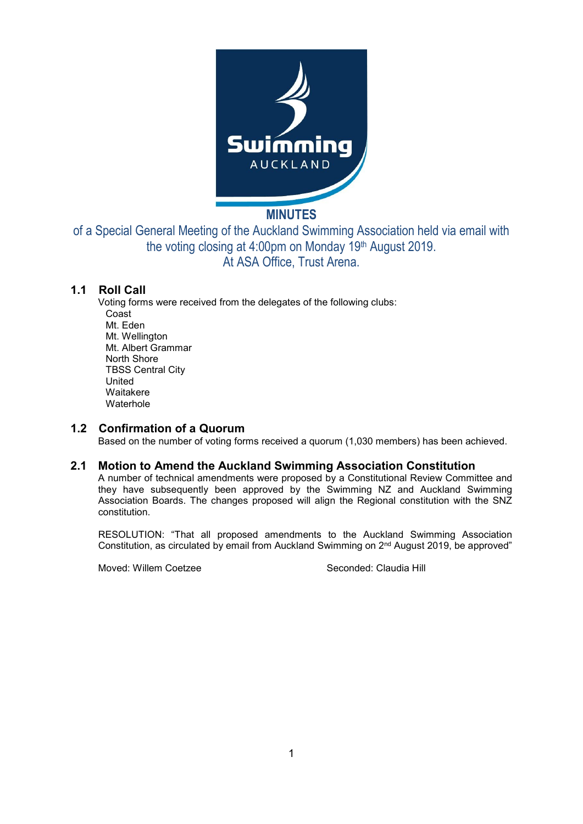

# **MINUTES**

of a Special General Meeting of the Auckland Swimming Association held via email with the voting closing at 4:00pm on Monday 19th August 2019. At ASA Office, Trust Arena.

## **1.1 Roll Call**

Voting forms were received from the delegates of the following clubs: Coast Mt. Eden Mt. Wellington Mt. Albert Grammar North Shore TBSS Central City United Waitakere **Waterhole** 

#### **1.2 Confirmation of a Quorum**

Based on the number of voting forms received a quorum (1,030 members) has been achieved.

### **2.1 Motion to Amend the Auckland Swimming Association Constitution**

A number of technical amendments were proposed by a Constitutional Review Committee and they have subsequently been approved by the Swimming NZ and Auckland Swimming Association Boards. The changes proposed will align the Regional constitution with the SNZ constitution.

RESOLUTION: "That all proposed amendments to the Auckland Swimming Association Constitution, as circulated by email from Auckland Swimming on 2nd August 2019, be approved"

Moved: Willem Coetzee Seconded: Claudia Hill